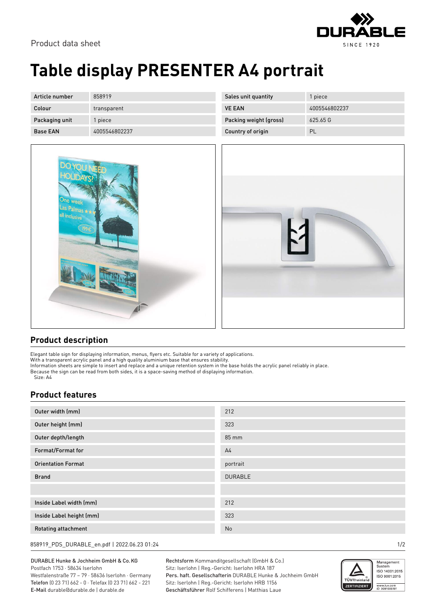### Product data sheet



# **Table display PRESENTER A4 portrait**

| Article number  | 858919        | Sales unit quantity    | 1 piece       |
|-----------------|---------------|------------------------|---------------|
| Colour          | transparent   | <b>VE EAN</b>          | 4005546802237 |
| Packaging unit  | piece         | Packing weight (gross) | 625.65G       |
| <b>Base EAN</b> | 4005546802237 | Country of origin      | PL            |



### **Product description**

Elegant table sign for displaying information, menus, flyers etc. Suitable for a variety of applications.

With a transparent acrylic panel and a high quality aluminium base that ensures stability.

Information sheets are simple to insert and replace and a unique retention system in the base holds the acrylic panel reliably in place. Because the sign can be read from both sides, it is a space-saving method of displaying information.

Size: A4

### **Product features**

| Outer width (mm)           | 212            |
|----------------------------|----------------|
| Outer height (mm)          | 323            |
| Outer depth/length         | 85 mm          |
| Format/Format for          | A <sub>4</sub> |
| <b>Orientation Format</b>  | portrait       |
| <b>Brand</b>               | <b>DURABLE</b> |
|                            |                |
| Inside Label width (mm)    | 212            |
| Inside Label height (mm)   | 323            |
| <b>Rotating attachment</b> | No             |

858919\_PDS\_DURABLE\_en.pdf | 2022.06.23 01:24 1/2

DURABLE Hunke & Jochheim GmbH & Co.KG Postfach 1753 · 58634 Iserlohn Westfalenstraße 77 – 79 · 58636 Iserlohn · Germany Telefon (0 23 71) 662 - 0 · Telefax (0 23 71) 662 - 221

E-Mail durable@durable.de | durable.de

Rechtsform Kommanditgesellschaft (GmbH & Co.) Sitz: Iserlohn | Reg.-Gericht: Iserlohn HRA 187 Pers. haft. Gesellschafterin DURABLE Hunke & Jochheim GmbH Sitz: Iserlohn | Reg.-Gericht: Iserlohn HRB 1156 Geschäftsführer Rolf Schifferens | Matthias Laue